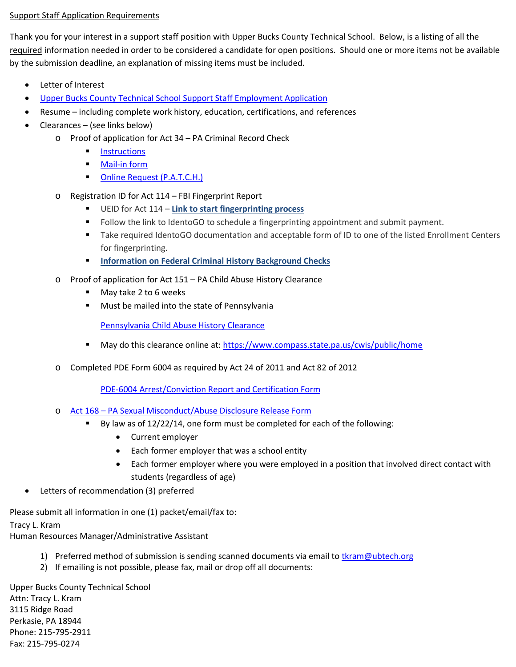## Support Staff Application Requirements

Thank you for your interest in a support staff position with Upper Bucks County Technical School. Below, is a listing of all the required information needed in order to be considered a candidate for open positions. Should one or more items not be available by the submission deadline, an explanation of missing items must be included.

- Letter of Interest
- [Upper Bucks County Technical School Support Staff](http://www.ubtech.org/cms/lib07/PA01000400/Centricity/Domain/52/Application%20for%20Employment%20Revised%20March%202014.pdf) Employment Application
- Resume including complete work history, education, certifications, and references
- Clearances (see links below)
	- o Proof of application for Act 34 PA Criminal Record Check
		- **[Instructions](http://www.ubtech.org/cms/lib07/PA01000400/Centricity/Domain/48/Applicant%20Background%20Check%20Required%20by%20Act%2034%20of%201985.pdf)**
		- [Mail-in form](http://www.ubtech.org/cms/lib07/PA01000400/Centricity/Domain/48/CriminalBackgroundCheck1.pdf)
		- **CONLINE Request (P.A.T.C.H.)**
	- o Registration ID for Act 114 FBI Fingerprint Report
		- UEID for Act 114 **[Link to start fingerprinting process](https://uenroll.identogo.com/workflows/1KG6NX)**
		- Follow the link to IdentoGO to schedule a fingerprinting appointment and submit payment.
		- **Take required IdentoGO documentation and acceptable form of ID to one of the listed Enrollment Centers** for fingerprinting.
		- **[Information on Federal Criminal History Background Checks](http://www.education.pa.gov/Teachers%20-%20Administrators/Background%20checks/Pages/Federal-Criminal-History-Background-Checks.aspx#tab-1)**
	- o Proof of application for Act 151 PA Child Abuse History Clearance
		- May take 2 to 6 weeks
		- **Must be mailed into the state of Pennsylvania**

[Pennsylvania Child Abuse History Clearance](http://www.ubtech.org/cms/lib07/PA01000400/Centricity/Domain/52/Child%20Abuse%20Dec09.pdf)

- May do this clearance online at[: https://www.compass.state.pa.us/cwis/public/home](https://www.compass.state.pa.us/cwis/public/home)
- o Completed PDE Form 6004 as required by Act 24 of 2011 and Act 82 of 2012

[PDE-6004 Arrest/Conviction Report and Certification Form](http://www.ubtech.org/cms/lib07/PA01000400/Centricity/Domain/52/Arrest%20or%20Conviction%20form.pdf)

- Act 168 [PA Sexual Misconduct/Abuse Disclosure Release Form](https://www.ubtech.org/cms/lib/PA01000400/Centricity/Domain/1/Act%20168%20-%20Attachment%20-%20Commonwealth%20of%20Pennsylvania%20Sexual%20Misconduct-Abuse%20Disclosure%20Release.pdf)
	- By law as of 12/22/14, one form must be completed for each of the following:
		- Current employer
		- Each former employer that was a school entity
		- Each former employer where you were employed in a position that involved direct contact with students (regardless of age)
- Letters of recommendation (3) preferred

Please submit all information in one (1) packet/email/fax to:

Tracy L. Kram

Human Resources Manager/Administrative Assistant

- 1) Preferred method of submission is sending scanned documents via email to the them @ubtech.org
- 2) If emailing is not possible, please fax, mail or drop off all documents:

Upper Bucks County Technical School Attn: Tracy L. Kram 3115 Ridge Road Perkasie, PA 18944 Phone: 215-795-2911 Fax: 215-795-0274